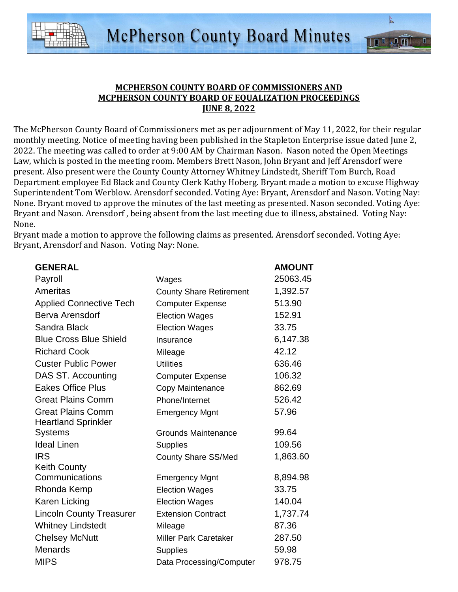

 $\mathbb{Z}^n$ 

 $\sqrt{1}$   $\overline{1}$ 

IID

The McPherson County Board of Commissioners met as per adjournment of May 11, 2022, for their regular monthly meeting. Notice of meeting having been published in the Stapleton Enterprise issue dated June 2, 2022. The meeting was called to order at 9:00 AM by Chairman Nason. Nason noted the Open Meetings Law, which is posted in the meeting room. Members Brett Nason, John Bryant and Jeff Arensdorf were present. Also present were the County County Attorney Whitney Lindstedt, Sheriff Tom Burch, Road Department employee Ed Black and County Clerk Kathy Hoberg. Bryant made a motion to excuse Highway Superintendent Tom Werblow. Arensdorf seconded. Voting Aye: Bryant, Arensdorf and Nason. Voting Nay: None. Bryant moved to approve the minutes of the last meeting as presented. Nason seconded. Voting Aye: Bryant and Nason. Arensdorf , being absent from the last meeting due to illness, abstained. Voting Nay: None.

Bryant made a motion to approve the following claims as presented. Arensdorf seconded. Voting Aye: Bryant, Arensdorf and Nason. Voting Nay: None.

| <b>GENERAL</b>                               |                                | <b>AMOUNT</b> |
|----------------------------------------------|--------------------------------|---------------|
| Payroll                                      | Wages                          | 25063.45      |
| Ameritas                                     | <b>County Share Retirement</b> | 1,392.57      |
| <b>Applied Connective Tech</b>               | <b>Computer Expense</b>        | 513.90        |
| <b>Berva Arensdorf</b>                       | <b>Election Wages</b>          | 152.91        |
| Sandra Black                                 | <b>Election Wages</b>          | 33.75         |
| <b>Blue Cross Blue Shield</b>                | Insurance                      | 6,147.38      |
| <b>Richard Cook</b>                          | Mileage                        | 42.12         |
| <b>Custer Public Power</b>                   | <b>Utilities</b>               | 636.46        |
| DAS ST. Accounting                           | <b>Computer Expense</b>        | 106.32        |
| <b>Eakes Office Plus</b>                     | Copy Maintenance               | 862.69        |
| <b>Great Plains Comm</b>                     | Phone/Internet                 | 526.42        |
| <b>Great Plains Comm</b>                     | <b>Emergency Mgnt</b>          | 57.96         |
| <b>Heartland Sprinkler</b><br><b>Systems</b> | <b>Grounds Maintenance</b>     | 99.64         |
| <b>Ideal Linen</b>                           |                                | 109.56        |
| <b>IRS</b>                                   | <b>Supplies</b>                | 1,863.60      |
| <b>Keith County</b>                          | <b>County Share SS/Med</b>     |               |
| Communications                               | <b>Emergency Mgnt</b>          | 8,894.98      |
| Rhonda Kemp                                  | <b>Election Wages</b>          | 33.75         |
| Karen Licking                                | <b>Election Wages</b>          | 140.04        |
| <b>Lincoln County Treasurer</b>              | <b>Extension Contract</b>      | 1,737.74      |
| <b>Whitney Lindstedt</b>                     | Mileage                        | 87.36         |
| <b>Chelsey McNutt</b>                        | <b>Miller Park Caretaker</b>   | 287.50        |
| <b>Menards</b>                               | <b>Supplies</b>                | 59.98         |
| <b>MIPS</b>                                  | Data Processing/Computer       | 978.75        |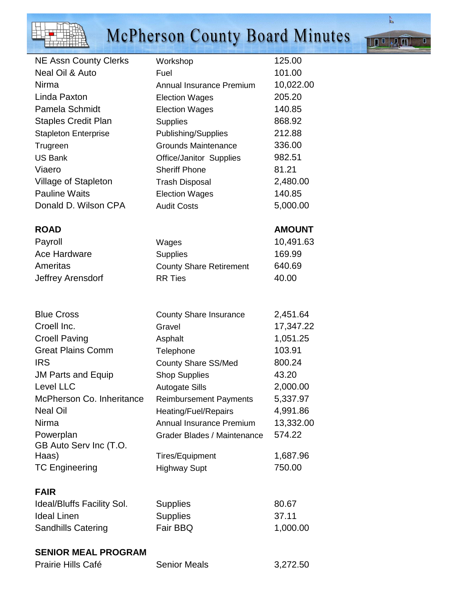|                                                  | <b>McPherson County Board Minutes</b>              |                       |
|--------------------------------------------------|----------------------------------------------------|-----------------------|
| <b>NE Assn County Clerks</b>                     | Workshop                                           | 125.00                |
| Neal Oil & Auto                                  | Fuel                                               | 101.00                |
| Nirma                                            | Annual Insurance Premium                           | 10,022.00             |
| Linda Paxton                                     | <b>Election Wages</b>                              | 205.20                |
| <b>Pamela Schmidt</b>                            | <b>Election Wages</b>                              | 140.85                |
| <b>Staples Credit Plan</b>                       | <b>Supplies</b>                                    | 868.92                |
| <b>Stapleton Enterprise</b>                      | Publishing/Supplies                                | 212.88                |
| Trugreen                                         | <b>Grounds Maintenance</b>                         | 336.00                |
| <b>US Bank</b>                                   | Office/Janitor Supplies                            | 982.51                |
| Viaero                                           | <b>Sheriff Phone</b>                               | 81.21                 |
| <b>Village of Stapleton</b>                      | <b>Trash Disposal</b>                              | 2,480.00              |
| <b>Pauline Waits</b>                             | <b>Election Wages</b>                              | 140.85                |
| Donald D. Wilson CPA                             | <b>Audit Costs</b>                                 | 5,000.00              |
| <b>ROAD</b>                                      |                                                    | <b>AMOUNT</b>         |
| Payroll                                          | Wages                                              | 10,491.63             |
| Ace Hardware                                     | <b>Supplies</b>                                    | 169.99                |
| Ameritas                                         | <b>County Share Retirement</b>                     | 640.69                |
| Jeffrey Arensdorf                                | <b>RR Ties</b>                                     | 40.00                 |
| <b>Blue Cross</b>                                |                                                    |                       |
| Croell Inc.                                      | <b>County Share Insurance</b>                      | 2,451.64<br>17,347.22 |
|                                                  | Gravel                                             | 1,051.25              |
| <b>Croell Paving</b><br><b>Great Plains Comm</b> | Asphalt                                            | 103.91                |
| <b>IRS</b>                                       | Telephone                                          | 800.24                |
|                                                  | <b>County Share SS/Med</b><br><b>Shop Supplies</b> | 43.20                 |
| <b>JM Parts and Equip</b><br>Level LLC           | <b>Autogate Sills</b>                              | 2,000.00              |
| McPherson Co. Inheritance                        | <b>Reimbursement Payments</b>                      | 5,337.97              |
| <b>Neal Oil</b>                                  | Heating/Fuel/Repairs                               | 4,991.86              |
| Nirma                                            | Annual Insurance Premium                           | 13,332.00             |
| Powerplan                                        | Grader Blades / Maintenance                        | 574.22                |
| GB Auto Serv Inc (T.O.                           |                                                    |                       |
| Haas)                                            | <b>Tires/Equipment</b>                             | 1,687.96              |
| <b>TC Engineering</b>                            | <b>Highway Supt</b>                                | 750.00                |
| <b>FAIR</b>                                      |                                                    |                       |
| <b>Ideal/Bluffs Facility Sol.</b>                | <b>Supplies</b>                                    | 80.67                 |
| <b>Ideal Linen</b>                               | <b>Supplies</b>                                    | 37.11                 |

Ideal Linen Supplies 37.11 Sandhills Catering Fair BBQ 1,000.00

## **SENIOR MEAL PROGRAM**

| Prairie Hills Café | <b>Senior Meals</b> | 3,272.50 |
|--------------------|---------------------|----------|
|                    |                     |          |

 $\Box$ 

**TILAN**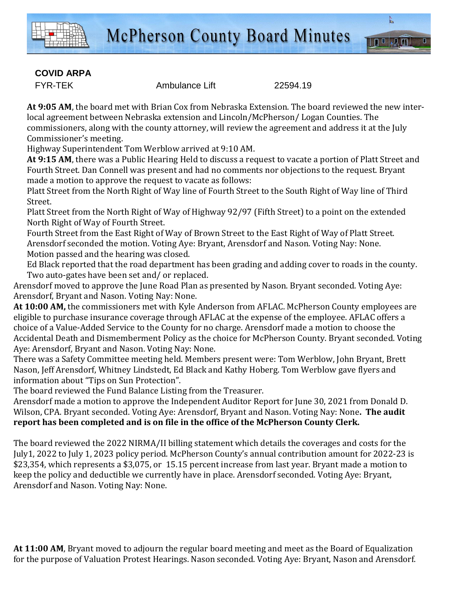

## **COVID ARPA**

FYR-TEK Ambulance Lift 22594.19

**At 9:05 AM**, the board met with Brian Cox from Nebraska Extension. The board reviewed the new interlocal agreement between Nebraska extension and Lincoln/McPherson/ Logan Counties. The commissioners, along with the county attorney, will review the agreement and address it at the July Commissioner's meeting.

Highway Superintendent Tom Werblow arrived at 9:10 AM.

**At 9:15 AM**, there was a Public Hearing Held to discuss a request to vacate a portion of Platt Street and Fourth Street. Dan Connell was present and had no comments nor objections to the request. Bryant made a motion to approve the request to vacate as follows:

Platt Street from the North Right of Way line of Fourth Street to the South Right of Way line of Third Street.

Platt Street from the North Right of Way of Highway 92/97 (Fifth Street) to a point on the extended North Right of Way of Fourth Street.

Fourth Street from the East Right of Way of Brown Street to the East Right of Way of Platt Street. Arensdorf seconded the motion. Voting Aye: Bryant, Arensdorf and Nason. Voting Nay: None. Motion passed and the hearing was closed.

Ed Black reported that the road department has been grading and adding cover to roads in the county. Two auto-gates have been set and/ or replaced.

Arensdorf moved to approve the June Road Plan as presented by Nason. Bryant seconded. Voting Aye: Arensdorf, Bryant and Nason. Voting Nay: None.

**At 10:00 AM,** the commissioners met with Kyle Anderson from AFLAC. McPherson County employees are eligible to purchase insurance coverage through AFLAC at the expense of the employee. AFLAC offers a choice of a Value-Added Service to the County for no charge. Arensdorf made a motion to choose the Accidental Death and Dismemberment Policy as the choice for McPherson County. Bryant seconded. Voting Aye: Arensdorf, Bryant and Nason. Voting Nay: None.

There was a Safety Committee meeting held. Members present were: Tom Werblow, John Bryant, Brett Nason, Jeff Arensdorf, Whitney Lindstedt, Ed Black and Kathy Hoberg. Tom Werblow gave flyers and information about "Tips on Sun Protection".

The board reviewed the Fund Balance Listing from the Treasurer.

Arensdorf made a motion to approve the Independent Auditor Report for June 30, 2021 from Donald D. Wilson, CPA. Bryant seconded. Voting Aye: Arensdorf, Bryant and Nason. Voting Nay: None**. The audit report has been completed and is on file in the office of the McPherson County Clerk.**

The board reviewed the 2022 NIRMA/II billing statement which details the coverages and costs for the July1, 2022 to July 1, 2023 policy period. McPherson County's annual contribution amount for 2022-23 is \$23,354, which represents a \$3,075, or 15.15 percent increase from last year. Bryant made a motion to keep the policy and deductible we currently have in place. Arensdorf seconded. Voting Aye: Bryant, Arensdorf and Nason. Voting Nay: None.

**At 11:00 AM**, Bryant moved to adjourn the regular board meeting and meet as the Board of Equalization for the purpose of Valuation Protest Hearings. Nason seconded. Voting Aye: Bryant, Nason and Arensdorf.